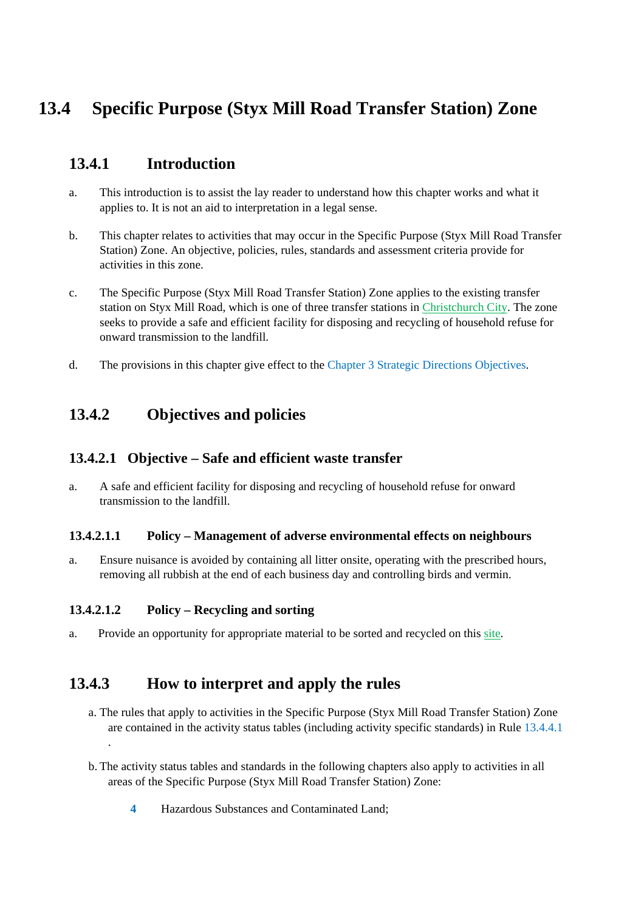# **13.4 Specific Purpose (Styx Mill Road Transfer Station) Zone**

### **13.4.1 Introduction**

- a. This introduction is to assist the lay reader to understand how this chapter works and what it applies to. It is not an aid to interpretation in a legal sense.
- b. This chapter relates to activities that may occur in the Specific Purpose (Styx Mill Road Transfer Station) Zone. An objective, policies, rules, standards and assessment criteria provide for activities in this zone.
- c. The Specific Purpose (Styx Mill Road Transfer Station) Zone applies to the existing transfer station on Styx Mill Road, which is one of three transfer stations in Christchurch City. The zone seeks to provide a safe and efficient facility for disposing and recycling of household refuse for onward transmission to the landfill.
- d. The provisions in this chapter give effect to the Chapter 3 Strategic Directions Objectives.

### **13.4.2 Objectives and policies**

#### **13.4.2.1 Objective – Safe and efficient waste transfer**

a. A safe and efficient facility for disposing and recycling of household refuse for onward transmission to the landfill.

#### **13.4.2.1.1 Policy – Management of adverse environmental effects on neighbours**

a. Ensure nuisance is avoided by containing all litter onsite, operating with the prescribed hours, removing all rubbish at the end of each business day and controlling birds and vermin.

#### **13.4.2.1.2 Policy – Recycling and sorting**

.

a. Provide an opportunity for appropriate material to be sorted and recycled on this site.

### **13.4.3 How to interpret and apply the rules**

- a. The rules that apply to activities in the Specific Purpose (Styx Mill Road Transfer Station) Zone are contained in the activity status tables (including activity specific standards) in Rule 13.4.4.1
- b. The activity status tables and standards in the following chapters also apply to activities in all areas of the Specific Purpose (Styx Mill Road Transfer Station) Zone:
	- **4** Hazardous Substances and Contaminated Land;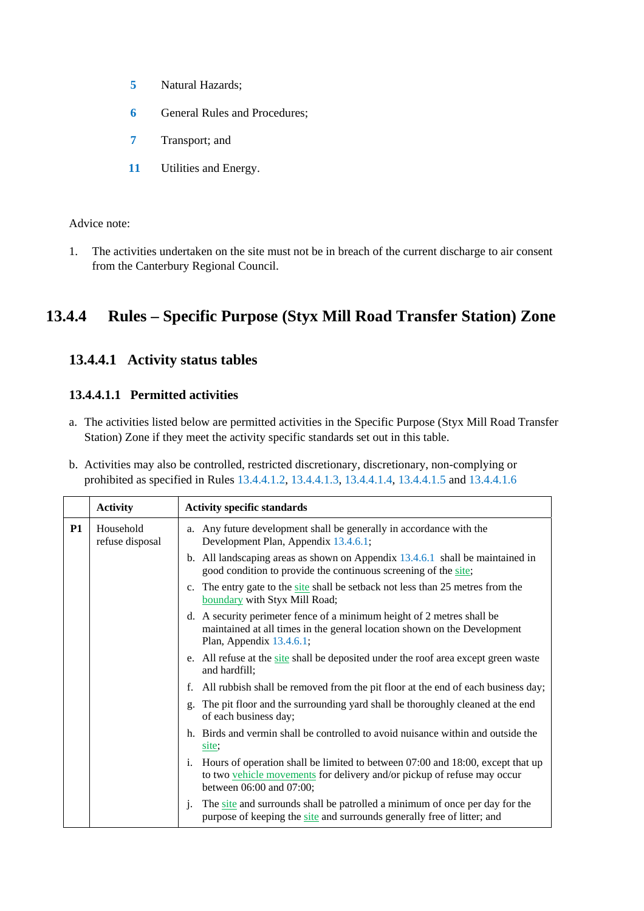- **5** Natural Hazards;
- **6 General Rules and Procedures;**
- **7** Transport; and
- **11** Utilities and Energy.

#### Advice note:

1. The activities undertaken on the site must not be in breach of the current discharge to air consent from the Canterbury Regional Council.

## **13.4.4 Rules – Specific Purpose (Styx Mill Road Transfer Station) Zone**

### **13.4.4.1 Activity status tables**

#### **13.4.4.1.1 Permitted activities**

- a. The activities listed below are permitted activities in the Specific Purpose (Styx Mill Road Transfer Station) Zone if they meet the activity specific standards set out in this table.
- b. Activities may also be controlled, restricted discretionary, discretionary, non-complying or prohibited as specified in Rules 13.4.4.1.2, 13.4.4.1.3, 13.4.4.1.4, 13.4.4.1.5 and 13.4.4.1.6

|           | <b>Activity</b>              | <b>Activity specific standards</b>                                                                                                                                                                      |  |
|-----------|------------------------------|---------------------------------------------------------------------------------------------------------------------------------------------------------------------------------------------------------|--|
| <b>P1</b> | Household<br>refuse disposal | a. Any future development shall be generally in accordance with the<br>Development Plan, Appendix 13.4.6.1;                                                                                             |  |
|           |                              | b. All landscaping areas as shown on Appendix $13.4.6.1$ shall be maintained in<br>good condition to provide the continuous screening of the site;                                                      |  |
|           |                              | c. The entry gate to the site shall be setback not less than 25 metres from the<br>boundary with Styx Mill Road;                                                                                        |  |
|           |                              | d. A security perimeter fence of a minimum height of 2 metres shall be<br>maintained at all times in the general location shown on the Development<br>Plan, Appendix 13.4.6.1;                          |  |
|           |                              | e. All refuse at the site shall be deposited under the roof area except green waste<br>and hardfill;                                                                                                    |  |
|           |                              | All rubbish shall be removed from the pit floor at the end of each business day;<br>f.                                                                                                                  |  |
|           |                              | The pit floor and the surrounding yard shall be thoroughly cleaned at the end<br>g.<br>of each business day;                                                                                            |  |
|           |                              | h. Birds and vermin shall be controlled to avoid nuisance within and outside the<br>site;                                                                                                               |  |
|           |                              | Hours of operation shall be limited to between 07:00 and 18:00, except that up<br>$\mathbf{1}$ .<br>to two vehicle movements for delivery and/or pickup of refuse may occur<br>between 06:00 and 07:00; |  |
|           |                              | The site and surrounds shall be patrolled a minimum of once per day for the<br>j.<br>purpose of keeping the site and surrounds generally free of litter; and                                            |  |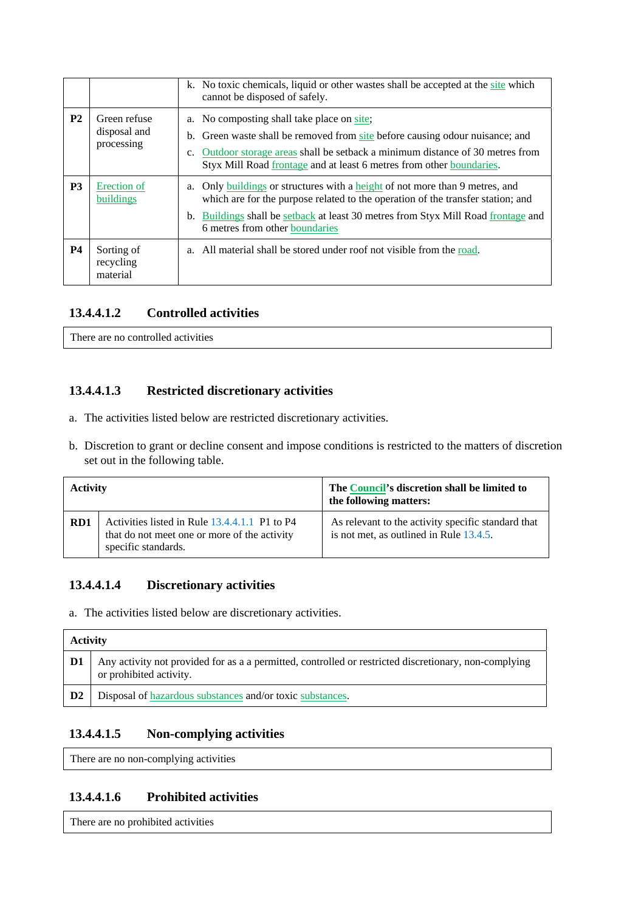|                |                                            | k. No toxic chemicals, liquid or other wastes shall be accepted at the site which<br>cannot be disposed of safely.                                                                                                                                                                      |
|----------------|--------------------------------------------|-----------------------------------------------------------------------------------------------------------------------------------------------------------------------------------------------------------------------------------------------------------------------------------------|
| <b>P2</b>      | Green refuse<br>disposal and<br>processing | a. No composting shall take place on site;<br>b. Green waste shall be removed from site before causing odour nuisance; and<br>Outdoor storage areas shall be setback a minimum distance of 30 metres from<br>c.<br>Styx Mill Road frontage and at least 6 metres from other boundaries. |
| P <sub>3</sub> | Erection of<br>buildings                   | a. Only buildings or structures with a height of not more than 9 metres, and<br>which are for the purpose related to the operation of the transfer station; and<br>b. Buildings shall be setback at least 30 metres from Styx Mill Road frontage and<br>6 metres from other boundaries  |
| <b>P4</b>      | Sorting of<br>recycling<br>material        | a. All material shall be stored under roof not visible from the road.                                                                                                                                                                                                                   |

#### **13.4.4.1.2 Controlled activities**

There are no controlled activities

#### **13.4.4.1.3 Restricted discretionary activities**

- a. The activities listed below are restricted discretionary activities.
- b. Discretion to grant or decline consent and impose conditions is restricted to the matters of discretion set out in the following table.

| <b>Activity</b> |                                                                                                                      | The Council's discretion shall be limited to<br>the following matters:                        |
|-----------------|----------------------------------------------------------------------------------------------------------------------|-----------------------------------------------------------------------------------------------|
| RD1             | Activities listed in Rule 13.4.4.1.1 P1 to P4<br>that do not meet one or more of the activity<br>specific standards. | As relevant to the activity specific standard that<br>is not met, as outlined in Rule 13.4.5. |

#### **13.4.4.1.4 Discretionary activities**

a. The activities listed below are discretionary activities.

| <b>Activity</b> |                                                                                                                                  |  |
|-----------------|----------------------------------------------------------------------------------------------------------------------------------|--|
| D1              | Any activity not provided for as a a permitted, controlled or restricted discretionary, non-complying<br>or prohibited activity. |  |
| D <sub>2</sub>  | Disposal of hazardous substances and/or toxic substances.                                                                        |  |

#### **13.4.4.1.5 Non-complying activities**

There are no non-complying activities

#### **13.4.4.1.6 Prohibited activities**

There are no prohibited activities